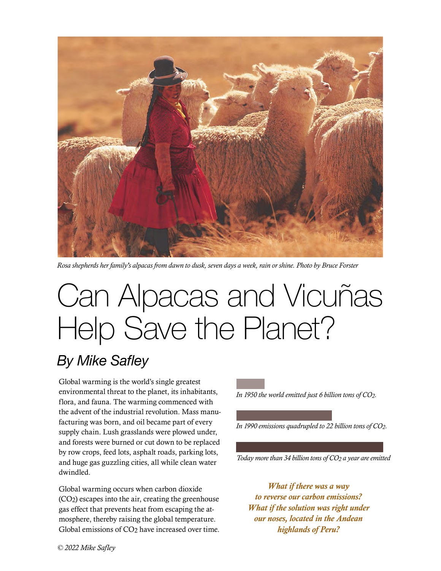

*Rosa shepherds her family's alpacas from dawn to dusk, seven days a week, rain or shine. Photo by Bruce Forster*

# Can Alpacas and Vicuñas Help Save the Planet?

## *By Mike Safley*

Global warming is the world's single greatest environmental threat to the planet, its inhabitants, flora, and fauna. The warming commenced with the advent of the industrial revolution. Mass manufacturing was born, and oil became part of every supply chain. Lush grasslands were plowed under, and forests were burned or cut down to be replaced by row crops, feed lots, asphalt roads, parking lots, and huge gas guzzling cities, all while clean water dwindled.

Global warming occurs when carbon dioxide (CO2) escapes into the air, creating the greenhouse gas effect that prevents heat from escaping the atmosphere, thereby raising the global temperature. Global emissions of CO<sub>2</sub> have increased over time. *In 1950 the world emitted just 6 billion tons of CO2.*

*In 1990 emissions quadrupled to 22 billion tons of CO2.*

*Today more than 34 billion tons of CO2 a year are emitted*

*What if there was a way to reverse our carbon emissions? What if the solution was right under our noses, located in the Andean highlands of Peru?*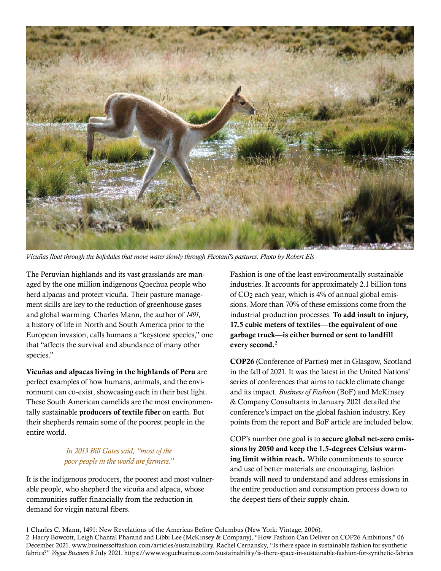

*Vicuñas float through the bofedales that move water slowly through Picotani's pastures. Photo by Robert Els*

The Peruvian highlands and its vast grasslands are managed by the one million indigenous Quechua people who herd alpacas and protect vicuña. Their pasture management skills are key to the reduction of greenhouse gases and global warming. Charles Mann, the author of *1491*, a history of life in North and South America prior to the European invasion, calls humans a "keystone species," one that "affects the survival and abundance of many other species."

Vicuñas and alpacas living in the highlands of Peru are perfect examples of how humans, animals, and the environment can co-exist, showcasing each in their best light. These South American camelids are the most environmentally sustainable producers of textile fiber on earth. But their shepherds remain some of the poorest people in the entire world.

### *In 2013 Bill Gates said, "most of the poor people in the world are farmers."*

It is the indigenous producers, the poorest and most vulnerable people, who shepherd the vicuña and alpaca, whose communities suffer financially from the reduction in demand for virgin natural fibers.

Fashion is one of the least environmentally sustainable industries. It accounts for approximately 2.1 billion tons of CO2 each year, which is 4% of annual global emissions. More than 70% of these emissions come from the industrial production processes. To add insult to injury, 17.5 cubic meters of textiles—the equivalent of one garbage truck—is either burned or sent to landfill every second.<sup>2</sup>

COP26 (Conference of Parties) met in Glasgow, Scotland in the fall of 2021. It was the latest in the United Nations' series of conferences that aims to tackle climate change and its impact. *Business of Fashion* (BoF) and McKinsey & Company Consultants in January 2021 detailed the conference's impact on the global fashion industry. Key points from the report and BoF article are included below.

COP's number one goal is to secure global net-zero emissions by 2050 and keep the 1.5-degrees Celsius warming limit within reach. While commitments to source and use of better materials are encouraging, fashion brands will need to understand and address emissions in the entire production and consumption process down to the deepest tiers of their supply chain.

<sup>1</sup> Charles C. Mann, 1491: New Revelations of the Americas Before Columbus (New York: Vintage, 2006).

<sup>2</sup> Harry Bowcott, Leigh Chantal Pharand and Libbi Lee (McKinsey & Company), "How Fashion Can Deliver on COP26 Ambitions," 06 December 2021. www.businessoffashion.com/articles/sustainability. Rachel Cernansky, "Is there space in sustainable fashion for synthetic fabrics?" *Vogue Business* 8 July 2021. https://www.voguebusiness.com/sustainability/is-there-space-in-sustainable-fashion-for-synthetic-fabrics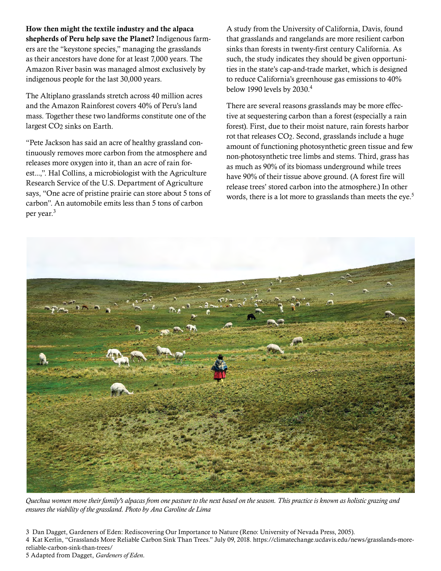How then might the textile industry and the alpaca shepherds of Peru help save the Planet? Indigenous farmers are the "keystone species," managing the grasslands as their ancestors have done for at least 7,000 years. The Amazon River basin was managed almost exclusively by indigenous people for the last 30,000 years.

The Altiplano grasslands stretch across 40 million acres and the Amazon Rainforest covers 40% of Peru's land mass. Together these two landforms constitute one of the largest CO<sub>2</sub> sinks on Earth.

"Pete Jackson has said an acre of healthy grassland continuously removes more carbon from the atmosphere and releases more oxygen into it, than an acre of rain forest...,". Hal Collins, a microbiologist with the Agriculture Research Service of the U.S. Department of Agriculture says, "One acre of pristine prairie can store about 5 tons of carbon". An automobile emits less than 5 tons of carbon per year.<sup>3</sup>

A study from the University of California, Davis, found that grasslands and rangelands are more resilient carbon sinks than forests in twenty-first century California. As such, the study indicates they should be given opportunities in the state's cap-and-trade market, which is designed to reduce California's greenhouse gas emissions to 40% below 1990 levels by 2030.4

There are several reasons grasslands may be more effective at sequestering carbon than a forest (especially a rain forest). First, due to their moist nature, rain forests harbor rot that releases CO2. Second, grasslands include a huge amount of functioning photosynthetic green tissue and few non-photosynthetic tree limbs and stems. Third, grass has as much as 90% of its biomass underground while trees have 90% of their tissue above ground. (A forest fire will release trees' stored carbon into the atmosphere.) In other words, there is a lot more to grasslands than meets the eye.<sup>5</sup>



*Quechua women move their family's alpacas from one pasture to the next based on the season. This practice is known as holistic grazing and ensures the viability of the grassland. Photo by Ana Caroline de Lima*

3 Dan Dagget, Gardeners of Eden: Rediscovering Our Importance to Nature (Reno: University of Nevada Press, 2005). 4 Kat Kerlin, "Grasslands More Reliable Carbon Sink Than Trees." July 09, 2018. https://climatechange.ucdavis.edu/news/grasslands-morereliable-carbon-sink-than-trees/ 5 Adapted from Dagget, *Gardeners of Eden*.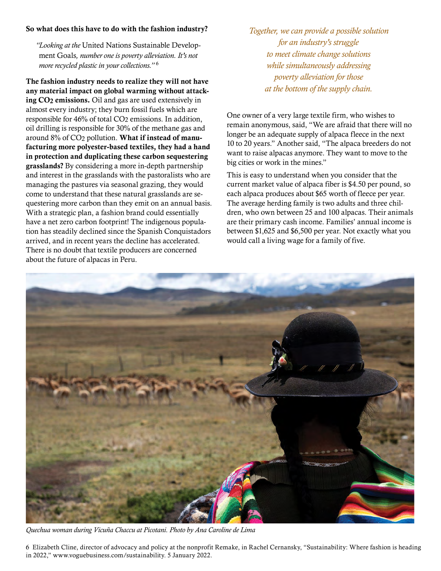#### So what does this have to do with the fashion industry?

*"Looking at the* United Nations Sustainable Development Goals*, number one is poverty alleviation. It's not more recycled plastic in your collections."* <sup>6</sup>

The fashion industry needs to realize they will not have any material impact on global warming without attacking CO2 emissions. Oil and gas are used extensively in almost every industry; they burn fossil fuels which are responsible for 46% of total CO2 emissions. In addition, oil drilling is responsible for 30% of the methane gas and around 8% of CO2 pollution. What if instead of manufacturing more polyester-based textiles, they had a hand in protection and duplicating these carbon sequestering grasslands? By considering a more in-depth partnership and interest in the grasslands with the pastoralists who are managing the pastures via seasonal grazing, they would come to understand that these natural grasslands are sequestering more carbon than they emit on an annual basis. With a strategic plan, a fashion brand could essentially have a net zero carbon footprint! The indigenous population has steadily declined since the Spanish Conquistadors arrived, and in recent years the decline has accelerated. There is no doubt that textile producers are concerned about the future of alpacas in Peru.

*Together, we can provide a possible solution for an industry's struggle to meet climate change solutions while simultaneously addressing poverty alleviation for those at the bottom of the supply chain.*

One owner of a very large textile firm, who wishes to remain anonymous, said, "We are afraid that there will no longer be an adequate supply of alpaca fleece in the next 10 to 20 years." Another said, "The alpaca breeders do not want to raise alpacas anymore. They want to move to the big cities or work in the mines."

This is easy to understand when you consider that the current market value of alpaca fiber is \$4.50 per pound, so each alpaca produces about \$65 worth of fleece per year. The average herding family is two adults and three children, who own between 25 and 100 alpacas. Their animals are their primary cash income. Families' annual income is between \$1,625 and \$6,500 per year. Not exactly what you would call a living wage for a family of five.



*Quechua woman during Vicuña Chaccu at Picotani. Photo by Ana Caroline de Lima*

6 Elizabeth Cline, director of advocacy and policy at the nonprofit Remake, in Rachel Cernansky, "Sustainability: Where fashion is heading in 2022," www.voguebusiness.com/sustainability. 5 January 2022.